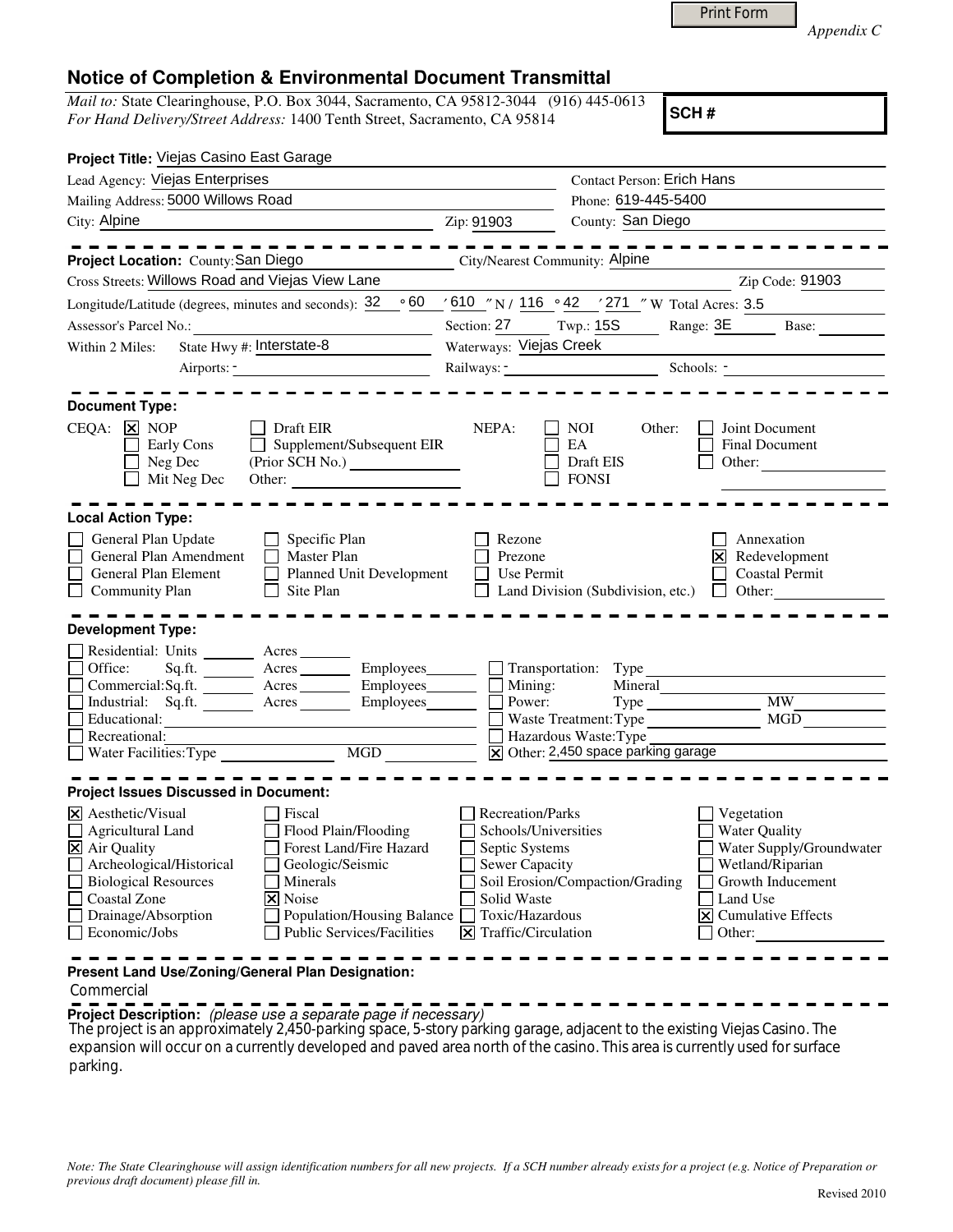|  | <b>Print Form</b> |  |
|--|-------------------|--|
|  |                   |  |

*Appendix C* 

## **Notice of Completion & Environmental Document Transmittal**

*Mail to:* State Clearinghouse, P.O. Box 3044, Sacramento, CA 95812-3044 (916) 445-0613 *For Hand Delivery/Street Address:* 1400 Tenth Street, Sacramento, CA 95814

**SCH #**

| Project Title: Viejas Casino East Garage                                                                                                                                                                                                                                                                                                                                                                                       |                                                                                                                                             |                                                                                                                                               |                                                                                                                                                           |  |
|--------------------------------------------------------------------------------------------------------------------------------------------------------------------------------------------------------------------------------------------------------------------------------------------------------------------------------------------------------------------------------------------------------------------------------|---------------------------------------------------------------------------------------------------------------------------------------------|-----------------------------------------------------------------------------------------------------------------------------------------------|-----------------------------------------------------------------------------------------------------------------------------------------------------------|--|
| Lead Agency: Viejas Enterprises                                                                                                                                                                                                                                                                                                                                                                                                |                                                                                                                                             | <b>Contact Person: Erich Hans</b>                                                                                                             |                                                                                                                                                           |  |
| Mailing Address: 5000 Willows Road                                                                                                                                                                                                                                                                                                                                                                                             |                                                                                                                                             | Phone: 619-445-5400                                                                                                                           |                                                                                                                                                           |  |
| City: Alpine<br><u> 1989 - Johann Barn, mars eta bainar eta idazlea (</u>                                                                                                                                                                                                                                                                                                                                                      | Zip: 91903                                                                                                                                  | County: San Diego                                                                                                                             |                                                                                                                                                           |  |
|                                                                                                                                                                                                                                                                                                                                                                                                                                |                                                                                                                                             |                                                                                                                                               |                                                                                                                                                           |  |
| Project Location: County: San Diego                                                                                                                                                                                                                                                                                                                                                                                            | <b>City/Nearest Community: Alpine</b>                                                                                                       |                                                                                                                                               |                                                                                                                                                           |  |
| Cross Streets: Willows Road and Viejas View Lane                                                                                                                                                                                                                                                                                                                                                                               |                                                                                                                                             |                                                                                                                                               | Zip Code: 91903                                                                                                                                           |  |
| $\circ 60$<br>Longitude/Latitude (degrees, minutes and seconds): 32                                                                                                                                                                                                                                                                                                                                                            |                                                                                                                                             | $\frac{1}{2}$ 610 $\frac{1}{2}$ N / 116 $\degree$ 42 $\degree$ / 271 $\degree$ W Total Acres: 3.5                                             |                                                                                                                                                           |  |
|                                                                                                                                                                                                                                                                                                                                                                                                                                |                                                                                                                                             | Section: 27 Twp.: 15S                                                                                                                         | Range: 3E Base:                                                                                                                                           |  |
| State Hwy #: Interstate-8<br>Within 2 Miles:                                                                                                                                                                                                                                                                                                                                                                                   | Waterways: Viejas Creek                                                                                                                     |                                                                                                                                               |                                                                                                                                                           |  |
|                                                                                                                                                                                                                                                                                                                                                                                                                                |                                                                                                                                             |                                                                                                                                               | Schools: $\frac{1}{\sqrt{1-\frac{1}{2}}}\left\vert \frac{1}{\sqrt{1-\frac{1}{2}}}\right\vert$                                                             |  |
| <b>Document Type:</b>                                                                                                                                                                                                                                                                                                                                                                                                          |                                                                                                                                             |                                                                                                                                               |                                                                                                                                                           |  |
| $CEQA: \times \overline{X} \text{ NOP}$<br>Draft EIR<br>Supplement/Subsequent EIR<br>Early Cons<br>Neg Dec<br>Mit Neg Dec<br>Other:                                                                                                                                                                                                                                                                                            | NEPA:                                                                                                                                       | NOI.<br>Other:<br>EA<br>Draft EIS<br><b>FONSI</b>                                                                                             | Joint Document<br>Final Document<br>Other:                                                                                                                |  |
| <b>Local Action Type:</b>                                                                                                                                                                                                                                                                                                                                                                                                      |                                                                                                                                             |                                                                                                                                               |                                                                                                                                                           |  |
| General Plan Update<br>$\Box$ Specific Plan<br>General Plan Amendment<br>Master Plan<br>General Plan Element<br>Planned Unit Development<br><b>Community Plan</b><br>$\Box$ Site Plan                                                                                                                                                                                                                                          | Rezone<br>Prezone<br>Use Permit                                                                                                             | Land Division (Subdivision, etc.)                                                                                                             | Annexation<br>Redevelopment<br><b>Coastal Permit</b><br>$\Box$ Other:                                                                                     |  |
| <b>Development Type:</b>                                                                                                                                                                                                                                                                                                                                                                                                       |                                                                                                                                             |                                                                                                                                               |                                                                                                                                                           |  |
| Residential: Units ________ Acres _______<br>Office:<br>Sq.ft. _________ Acres __________ Employees________<br>Commercial:Sq.ft. ________ Acres _________ Employees________<br>Industrial: Sq.ft. <u>Acres</u> Acres Employees<br>Educational:<br>Recreational:                                                                                                                                                                |                                                                                                                                             | Transportation: Type<br>Mining:<br>Power:<br>Mineral<br>Waste Treatment: Type<br>Hazardous Waste: Type<br>X Other: 2,450 space parking garage | <b>MW</b><br>MGD                                                                                                                                          |  |
|                                                                                                                                                                                                                                                                                                                                                                                                                                |                                                                                                                                             |                                                                                                                                               |                                                                                                                                                           |  |
| <b>Project Issues Discussed in Document:</b><br>$\boxtimes$ Aesthetic/Visual<br>Fiscal<br>Agricultural Land<br>Flood Plain/Flooding<br>$\times$ Air Quality<br>Forest Land/Fire Hazard<br>Archeological/Historical<br>Geologic/Seismic<br><b>Biological Resources</b><br>Minerals<br>Coastal Zone<br><b>X</b> Noise<br>Drainage/Absorption<br>Population/Housing Balance<br>Economic/Jobs<br><b>Public Services/Facilities</b> | Recreation/Parks<br>Schools/Universities<br>Septic Systems<br>Sewer Capacity<br>Solid Waste<br>Toxic/Hazardous<br>$\Xi$ Traffic/Circulation | Soil Erosion/Compaction/Grading                                                                                                               | Vegetation<br><b>Water Quality</b><br>Water Supply/Groundwater<br>Wetland/Riparian<br>Growth Inducement<br>Land Use<br>$\Xi$ Cumulative Effects<br>Other: |  |
| Present Land Use/Zoning/General Plan Designation:                                                                                                                                                                                                                                                                                                                                                                              |                                                                                                                                             |                                                                                                                                               |                                                                                                                                                           |  |

Commercial

**Project Description:** (please use a separate page if necessary)

 The project is an approximately 2,450-parking space, 5-story parking garage, adjacent to the existing Viejas Casino. The expansion will occur on a currently developed and paved area north of the casino. This area is currently used for surface parking.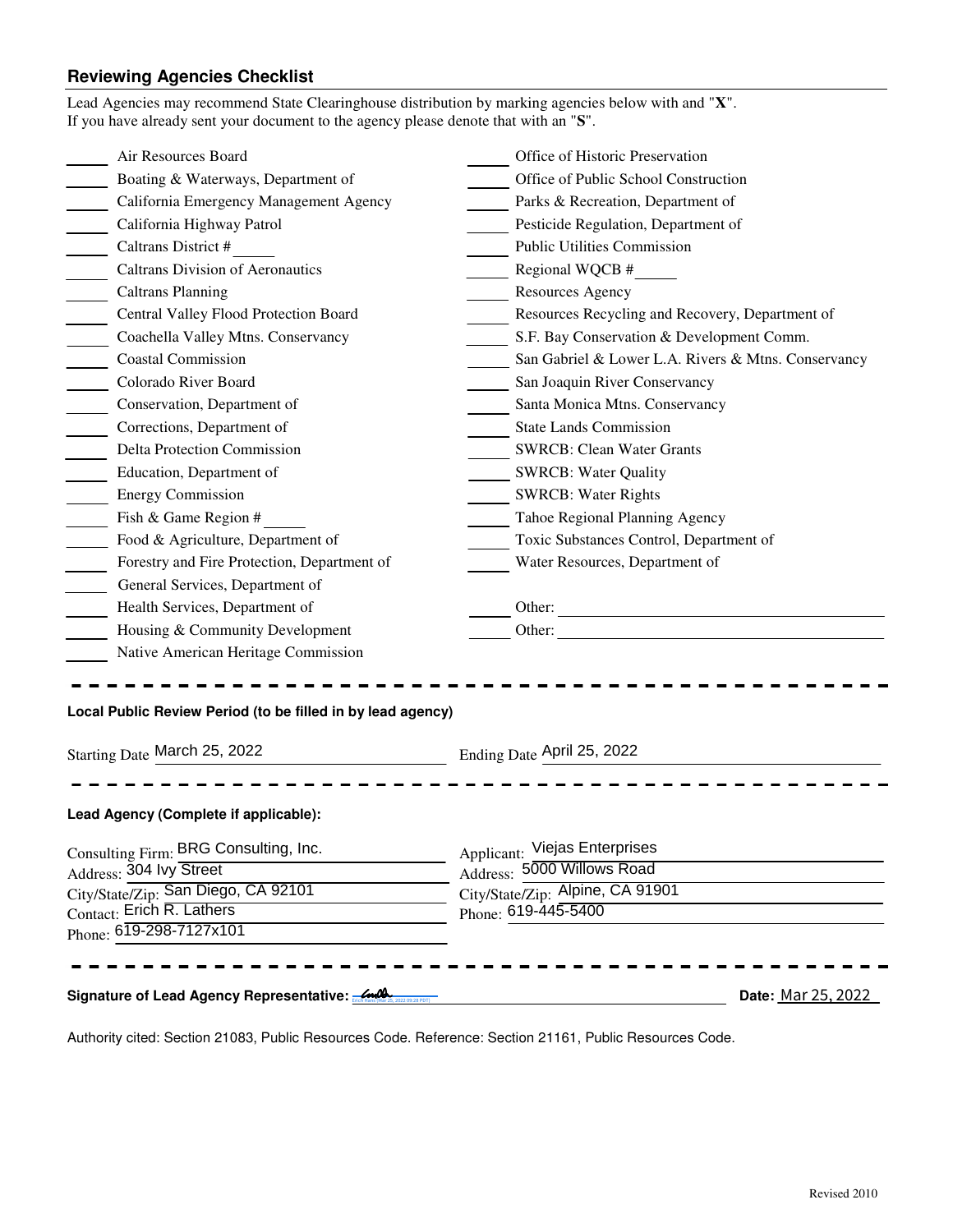## **Reviewing Agencies Checklist**

| Lead Agencies may recommend State Clearinghouse distribution by marking agencies below with and "X".<br>If you have already sent your document to the agency please denote that with an "S". |                                                                                                                        |
|----------------------------------------------------------------------------------------------------------------------------------------------------------------------------------------------|------------------------------------------------------------------------------------------------------------------------|
| Air Resources Board                                                                                                                                                                          | Office of Historic Preservation                                                                                        |
| Boating & Waterways, Department of                                                                                                                                                           | Office of Public School Construction                                                                                   |
| California Emergency Management Agency                                                                                                                                                       | Parks & Recreation, Department of                                                                                      |
| California Highway Patrol                                                                                                                                                                    | Pesticide Regulation, Department of                                                                                    |
| Caltrans District #<br>$\mathbb{R}^n$                                                                                                                                                        | <b>Public Utilities Commission</b>                                                                                     |
| <b>Caltrans Division of Aeronautics</b>                                                                                                                                                      | Regional WQCB #                                                                                                        |
| $\overline{\phantom{a}}$<br><b>Caltrans Planning</b>                                                                                                                                         | Resources Agency                                                                                                       |
| Central Valley Flood Protection Board                                                                                                                                                        | Resources Recycling and Recovery, Department of                                                                        |
| Coachella Valley Mtns. Conservancy                                                                                                                                                           | S.F. Bay Conservation & Development Comm.                                                                              |
| <b>Coastal Commission</b>                                                                                                                                                                    | San Gabriel & Lower L.A. Rivers & Mtns. Conservancy                                                                    |
| Colorado River Board<br>$\mathcal{L}^{\text{max}}$                                                                                                                                           | San Joaquin River Conservancy                                                                                          |
| Conservation, Department of                                                                                                                                                                  | Santa Monica Mtns. Conservancy                                                                                         |
| Corrections, Department of                                                                                                                                                                   | <b>State Lands Commission</b>                                                                                          |
| <b>Delta Protection Commission</b>                                                                                                                                                           | <b>SWRCB: Clean Water Grants</b>                                                                                       |
| Education, Department of                                                                                                                                                                     | <b>SWRCB: Water Quality</b>                                                                                            |
| <b>Energy Commission</b>                                                                                                                                                                     | <b>SWRCB: Water Rights</b>                                                                                             |
| Fish & Game Region #<br>$\overline{\phantom{a}}$                                                                                                                                             | Tahoe Regional Planning Agency                                                                                         |
| Food & Agriculture, Department of                                                                                                                                                            | Toxic Substances Control, Department of                                                                                |
| Forestry and Fire Protection, Department of                                                                                                                                                  | Water Resources, Department of                                                                                         |
| General Services, Department of                                                                                                                                                              |                                                                                                                        |
| Health Services, Department of                                                                                                                                                               | Other:                                                                                                                 |
| Housing & Community Development                                                                                                                                                              |                                                                                                                        |
| Native American Heritage Commission                                                                                                                                                          |                                                                                                                        |
| Local Public Review Period (to be filled in by lead agency)<br>Starting Date March 25, 2022                                                                                                  | Ending Date April 25, 2022                                                                                             |
| Lead Agency (Complete if applicable):                                                                                                                                                        |                                                                                                                        |
| Consulting Firm: BRG Consulting, Inc.<br>Address: 304 Ivy Street<br>City/State/Zip: San Diego, CA 92101<br>Contact: Erich R. Lathers<br>Phone: 619-298-7127x101                              | Applicant: Viejas Enterprises<br>Address: 5000 Willows Road<br>City/State/Zip: Alpine, CA 91901<br>Phone: 619-445-5400 |
| Signature of Lead Agency Representative: 2000                                                                                                                                                | Date: Mar 25, 2022                                                                                                     |

Authority cited: Section 21083, Public Resources Code. Reference: Section 21161, Public Resources Code.